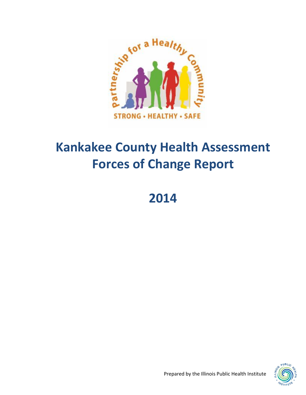

# **Kankakee County Health Assessment Forces of Change Report**

# **2014**



Prepared by the Illinois Public Health Institute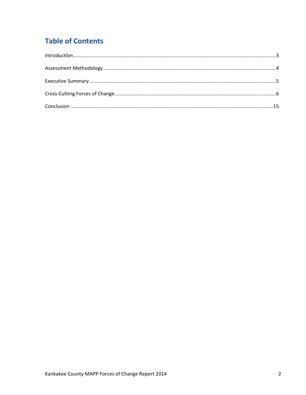# **Table of Contents**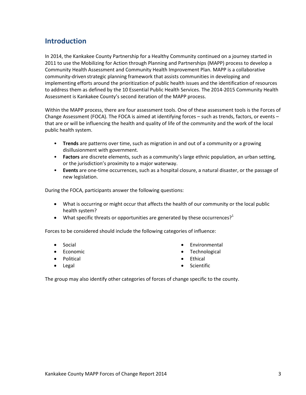# **Introduction**

In 2014, the Kankakee County Partnership for a Healthy Community continued on a journey started in 2011 to use the Mobilizing for Action through Planning and Partnerships (MAPP) process to develop a Community Health Assessment and Community Health Improvement Plan. MAPP is a collaborative community-driven strategic planning framework that assists communities in developing and implementing efforts around the prioritization of public health issues and the identification of resources to address them as defined by the 10 Essential Public Health Services. The 2014-2015 Community Health Assessment is Kankakee County's second iteration of the MAPP process.

Within the MAPP process, there are four assessment tools. One of these assessment tools is the Forces of Change Assessment (FOCA). The FOCA is aimed at identifying forces – such as trends, factors, or events – that are or will be influencing the health and quality of life of the community and the work of the local public health system.

- **Trends** are patterns over time, such as migration in and out of a community or a growing disillusionment with government.
- **Factors** are discrete elements, such as a community's large ethnic population, an urban setting, or the jurisdiction's proximity to a major waterway.
- **Events** are one-time occurrences, such as a hospital closure, a natural disaster, or the passage of new legislation.

During the FOCA, participants answer the following questions:

- What is occurring or might occur that affects the health of our community or the local public health system?
- What specific threats or opportunities are generated by these occurrences?<sup>1</sup>

Forces to be considered should include the following categories of influence:

- Social
- $\bullet$  Fconomic
- Political
- Legal
- Environmental
- Technological

Scientific

- Ethical
- 

The group may also identify other categories of forces of change specific to the county.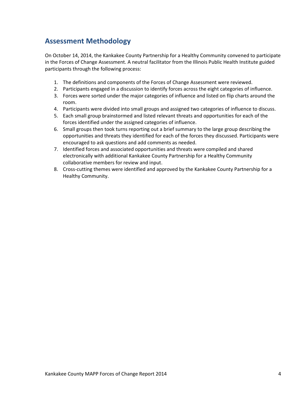# **Assessment Methodology**

On October 14, 2014, the Kankakee County Partnership for a Healthy Community convened to participate in the Forces of Change Assessment. A neutral facilitator from the Illinois Public Health Institute guided participants through the following process:

- 1. The definitions and components of the Forces of Change Assessment were reviewed.
- 2. Participants engaged in a discussion to identify forces across the eight categories of influence.
- 3. Forces were sorted under the major categories of influence and listed on flip charts around the room.
- 4. Participants were divided into small groups and assigned two categories of influence to discuss.
- 5. Each small group brainstormed and listed relevant threats and opportunities for each of the forces identified under the assigned categories of influence.
- 6. Small groups then took turns reporting out a brief summary to the large group describing the opportunities and threats they identified for each of the forces they discussed. Participants were encouraged to ask questions and add comments as needed.
- 7. Identified forces and associated opportunities and threats were compiled and shared electronically with additional Kankakee County Partnership for a Healthy Community collaborative members for review and input.
- 8. Cross-cutting themes were identified and approved by the Kankakee County Partnership for a Healthy Community.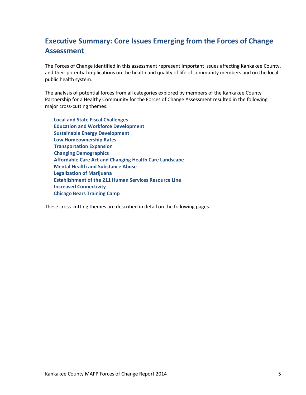# **Executive Summary: Core Issues Emerging from the Forces of Change Assessment**

The Forces of Change identified in this assessment represent important issues affecting Kankakee County, and their potential implications on the health and quality of life of community members and on the local public health system.

The analysis of potential forces from all categories explored by members of the Kankakee County Partnership for a Healthy Community for the Forces of Change Assessment resulted in the following major cross-cutting themes:

**Local and State Fiscal Challenges Education and Workforce Development Sustainable Energy Development Low Homeownership Rates Transportation Expansion Changing Demographics Affordable Care Act and Changing Health Care Landscape Mental Health and Substance Abuse Legalization of Marijuana Establishment of the 211 Human Services Resource Line Increased Connectivity Chicago Bears Training Camp**

These cross-cutting themes are described in detail on the following pages.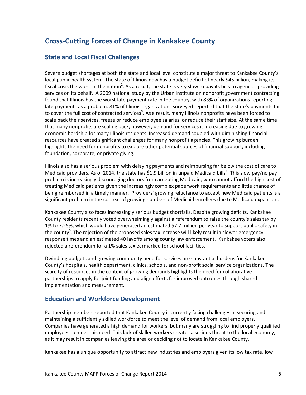# **Cross-Cutting Forces of Change in Kankakee County**

## **State and Local Fiscal Challenges**

Severe budget shortages at both the state and local level constitute a major threat to Kankakee County's local public health system. The state of Illinois now has a budget deficit of nearly \$45 billion, making its fiscal crisis the worst in the nation<sup>2</sup>. As a result, the state is very slow to pay its bills to agencies providing services on its behalf. A 2009 national study by the Urban Institute on nonprofit government contracting found that Illinois has the worst late payment rate in the country, with 83% of organizations reporting late payments as a problem. 81% of Illinois organizations surveyed reported that the state's payments fail to cover the full cost of contracted services<sup>3</sup>. As a result, many Illinois nonprofits have been forced to scale back their services, freeze or reduce employee salaries, or reduce their staff size. At the same time that many nonprofits are scaling back, however, demand for services is increasing due to growing economic hardship for many Illinois residents. Increased demand coupled with diminishing financial resources have created significant challenges for many nonprofit agencies. This growing burden highlights the need for nonprofits to explore other potential sources of financial support, including foundation, corporate, or private giving.

Illinois also has a serious problem with delaying payments and reimbursing far below the cost of care to Medicaid providers. As of 2014, the state has \$1.9 billion in unpaid Medicaid bills<sup>4</sup>. This slow pay/no pay problem is increasingly discouraging doctors from accepting Medicaid, who cannot afford the high cost of treating Medicaid patients given the increasingly complex paperwork requirements and little chance of being reimbursed in a timely manner. Providers' growing reluctance to accept new Medicaid patients is a significant problem in the context of growing numbers of Medicaid enrollees due to Medicaid expansion.

Kankakee County also faces increasingly serious budget shortfalls. Despite growing deficits, Kankakee County residents recently voted overwhelmingly against a referendum to raise the county's sales tax by 1% to 7.25%, which would have generated an estimated \$7.7 million per year to support public safety in the county<sup>5</sup>. The rejection of the proposed sales tax increase will likely result in slower emergency response times and an estimated 40 layoffs among county law enforcement. Kankakee voters also rejected a referendum for a 1% sales tax earmarked for school facilities.

Dwindling budgets and growing community need for services are substantial burdens for Kankakee County's hospitals, health department, clinics, schools, and non-profit social service organizations. The scarcity of resources in the context of growing demands highlights the need for collaborative partnerships to apply for joint funding and align efforts for improved outcomes through shared implementation and measurement.

### **Education and Workforce Development**

Partnership members reported that Kankakee County is currently facing challenges in securing and maintaining a sufficiently skilled workforce to meet the level of demand from local employers. Companies have generated a high demand for workers, but many are struggling to find properly qualified employees to meet this need. This lack of skilled workers creates a serious threat to the local economy, as it may result in companies leaving the area or deciding not to locate in Kankakee County.

Kankakee has a unique opportunity to attract new industries and employers given its low tax rate. low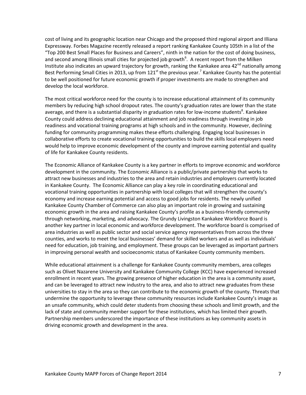cost of living and its geographic location near Chicago and the proposed third regional airport and Illiana Expressway. Forbes Magazine recently released a report ranking Kankakee County 105th in a list of the "Top 200 Best Small Places for Business and Careers", ninth in the nation for the cost of doing business, and second among Illinois small cities for projected job growth<sup>6</sup>. A recent report from the Milken Institute also indicates an upward trajectory for growth, ranking the Kankakee area  $42^{nd}$  nationally among Best Performing Small Cities in 2013, up from 121<sup>st</sup> the previous year.<sup>7</sup> Kankakee County has the potential to be well positioned for future economic growth if proper investments are made to strengthen and develop the local workforce.

The most critical workforce need for the county is to increase educational attainment of its community members by reducing high school dropout rates. The county's graduation rates are lower than the state average, and there is a substantial disparity in graduation rates for low-income students<sup>8</sup>. Kankakee County could address declining educational attainment and job readiness through investing in job readiness and vocational training programs at high schools and in the community. However, declining funding for community programming makes these efforts challenging. Engaging local businesses in collaborative efforts to create vocational training opportunities to build the skills local employers need would help to improve economic development of the county and improve earning potential and quality of life for Kankakee County residents.

The Economic Alliance of Kankakee County is a key partner in efforts to improve economic and workforce development in the community. The Economic Alliance is a public/private partnership that works to attract new businesses and industries to the area and retain industries and employers currently located in Kankakee County. The Economic Alliance can play a key role in coordinating educational and vocational training opportunities in partnership with local colleges that will strengthen the county's economy and increase earning potential and access to good jobs for residents. The newly unified Kankakee County Chamber of Commerce can also play an important role in growing and sustaining economic growth in the area and raising Kankakee County's profile as a business-friendly community through networking, marketing, and advocacy. The Grundy Livingston Kankakee Workforce Board is another key partner in local economic and workforce development. The workforce board is comprised of area industries as well as public sector and social service agency representatives from across the three counties, and works to meet the local businesses' demand for skilled workers and as well as individuals' need for education, job training, and employment. These groups can be leveraged as important partners in improving personal wealth and socioeconomic status of Kankakee County community members.

While educational attainment is a challenge for Kankakee County community members, area colleges such as Olivet Nazarene University and Kankakee Community College (KCC) have experienced increased enrollment in recent years. The growing presence of higher education in the area is a community asset, and can be leveraged to attract new industry to the area, and also to attract new graduates from these universities to stay in the area so they can contribute to the economic growth of the county. Threats that undermine the opportunity to leverage these community resources include Kankakee County's image as an unsafe community, which could deter students from choosing these schools and limit growth, and the lack of state and community member support for these institutions, which has limited their growth. Partnership members underscored the importance of these institutions as key community assets in driving economic growth and development in the area.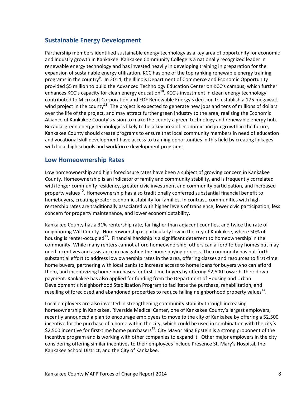### **Sustainable Energy Development**

Partnership members identified sustainable energy technology as a key area of opportunity for economic and industry growth in Kankakee. Kankakee Community College is a nationally recognized leader in renewable energy technology and has invested heavily in developing training in preparation for the expansion of sustainable energy utilization. KCC has one of the top ranking renewable energy training programs in the country<sup>9</sup>. In 2014, the Illinois Department of Commerce and Economic Opportunity provided \$5 million to build the Advanced Technology Education Center on KCC's campus, which further enhances KCC's capacity for clean energy education<sup>10</sup>. KCC's investment in clean energy technology contributed to Microsoft Corporation and EDF Renewable Energy's decision to establish a 175 megawatt wind project in the county<sup>11</sup>. The project is expected to generate new jobs and tens of millions of dollars over the life of the project, and may attract further green industry to the area, realizing the Economic Alliance of Kankakee County's vision to make the county a green technology and renewable energy hub. Because green energy technology is likely to be a key area of economic and job growth in the future, Kankakee County should create programs to ensure that local community members in need of education and vocational skill development have access to training opportunities in this field by creating linkages with local high schools and workforce development programs.

### **Low Homeownership Rates**

Low homeownership and high foreclosure rates have been a subject of growing concern in Kankakee County. Homeownership is an indicator of family and community stability, and is frequently correlated with longer community residency, greater civic investment and community participation, and increased property values<sup>12</sup>. Homeownership has also traditionally conferred substantial financial benefit to homebuyers, creating greater economic stability for families. In contrast, communities with high rentership rates are traditionally associated with higher levels of transience, lower civic participation, less concern for property maintenance, and lower economic stability.

Kankakee County has a 31% rentership rate, far higher than adjacent counties, and twice the rate of neighboring Will County. Homeownership is particularly low in the city of Kankakee, where 50% of housing is renter-occupied<sup>13</sup>. Financial hardship is a significant deterrent to homeownership in the community. While many renters cannot afford homeownership, others can afford to buy homes but may need incentives and assistance in navigating the home buying process. The community has put forth substantial effort to address low ownership rates in the area, offering classes and resources to first-time home buyers, partnering with local banks to increase access to home loans for buyers who can afford them, and incentivizing home purchases for first-time buyers by offering \$2,500 towards their down payment. Kankakee has also applied for funding from the Department of Housing and Urban Development's Neighborhood Stabilization Program to facilitate the purchase, rehabilitation, and reselling of foreclosed and abandoned properties to reduce falling neighborhood property values<sup>14</sup>.

Local employers are also invested in strengthening community stability through increasing homeownership in Kankakee. Riverside Medical Center, one of Kankakee County's largest employers, recently announced a plan to encourage employees to move to the city of Kankakee by offering a \$2,500 incentive for the purchase of a home within the city, which could be used in combination with the city's \$2,500 incentive for first-time home purchasers<sup>15</sup>. City Mayor Nina Epstein is a strong proponent of the incentive program and is working with other companies to expand it. Other major employers in the city considering offering similar incentives to their employees include Presence St. Mary's Hospital, the Kankakee School District, and the City of Kankakee.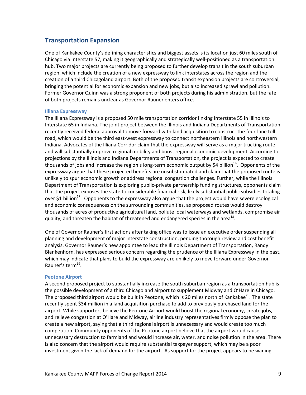### **Transportation Expansion**

One of Kankakee County's defining characteristics and biggest assets is its location just 60 miles south of Chicago via Interstate 57, making it geographically and strategically well-positioned as a transportation hub. Two major projects are currently being proposed to further develop transit in the south suburban region, which include the creation of a new expressway to link interstates across the region and the creation of a third Chicagoland airport. Both of the proposed transit expansion projects are controversial, bringing the potential for economic expansion and new jobs, but also increased sprawl and pollution. Former Governor Quinn was a strong proponent of both projects during his administration, but the fate of both projects remains unclear as Governor Rauner enters office.

#### **Illiana Expressway**

The Illiana Expressway is a proposed 50 mile transportation corridor linking Interstate 55 in Illinois to Interstate 65 in Indiana. The joint project between the Illinois and Indiana Departments of Transportation recently received federal approval to move forward with land acquisition to construct the four-lane toll road, which would be the third east-west expressway to connect northeastern Illinois and northwestern Indiana. Advocates of the Illiana Corridor claim that the expressway will serve as a major trucking route and will substantially improve regional mobility and boost regional economic development. According to projections by the Illinois and Indiana Departments of Transportation, the project is expected to create thousands of jobs and increase the region's long-term economic output by \$4 billion<sup>16</sup>. Opponents of the expressway argue that these projected benefits are unsubstantiated and claim that the proposed route is unlikely to spur economic growth or address regional congestion challenges. Further, while the Illinois Department of Transportation is exploring public-private partnership funding structures, opponents claim that the project exposes the state to considerable financial risk, likely substantial public subsidies totaling over \$1 billion<sup>17</sup>. Opponents to the expressway also argue that the project would have severe ecological and economic consequences on the surrounding communities, as proposed routes would destroy thousands of acres of productive agricultural land, pollute local waterways and wetlands, compromise air quality, and threaten the habitat of threatened and endangered species in the area<sup>18</sup>.

One of Governor Rauner's first actions after taking office was to issue an executive order suspending all planning and development of major interstate construction, pending thorough review and cost benefit analysis. Governor Rauner's new appointee to lead the Illinois Department of Transportation, Randy Blankenhorn, has expressed serious concern regarding the prudence of the Illiana Expressway in the past, which may indicate that plans to build the expressway are unlikely to move forward under Governor Rauner's term<sup>19</sup>.

#### **Peotone Airport**

A second proposed project to substantially increase the south suburban region as a transportation hub is the possible development of a third Chicagoland airport to supplement Midway and O'Hare in Chicago. The proposed third airport would be built in Peotone, which is 20 miles north of Kankakee<sup>20</sup>. The state recently spent \$34 million in a land acquisition purchase to add to previously purchased land for the airport. While supporters believe the Peotone Airport would boost the regional economy, create jobs, and relieve congestion at O'Hare and Midway, airline industry representatives firmly oppose the plan to create a new airport, saying that a third regional airport is unnecessary and would create too much competition. Community opponents of the Peotone airport believe that the airport would cause unnecessary destruction to farmland and would increase air, water, and noise pollution in the area. There is also concern that the airport would require substantial taxpayer support, which may be a poor investment given the lack of demand for the airport. As support for the project appears to be waning,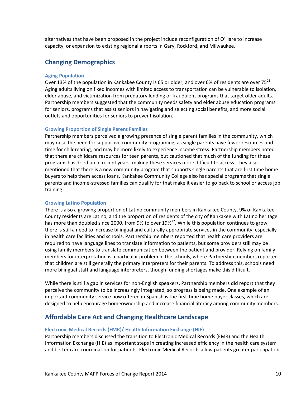alternatives that have been proposed in the project include reconfiguration of O'Hare to increase capacity, or expansion to existing regional airports in Gary, Rockford, and Milwaukee.

### **Changing Demographics**

#### **Aging Population**

Over 13% of the population in Kankakee County is 65 or older, and over 6% of residents are over 75<sup>21</sup>. Aging adults living on fixed incomes with limited access to transportation can be vulnerable to isolation, elder abuse, and victimization from predatory lending or fraudulent programs that target older adults. Partnership members suggested that the community needs safety and elder abuse education programs for seniors, programs that assist seniors in navigating and selecting social benefits, and more social outlets and opportunities for seniors to prevent isolation.

#### **Growing Proportion of Single Parent Families**

Partnership members perceived a growing presence of single parent families in the community, which may raise the need for supportive community programing, as single parents have fewer resources and time for childrearing, and may be more likely to experience income stress. Partnership members noted that there are childcare resources for teen parents, but cautioned that much of the funding for these programs has dried up in recent years, making these services more difficult to access. They also mentioned that there is a new community program that supports single parents that are first time home buyers to help them access loans. Kankakee Community College also has special programs that single parents and income-stressed families can qualify for that make it easier to go back to school or access job training.

#### **Growing Latino Population**

There is also a growing proportion of Latino community members in Kankakee County. 9% of Kankakee County residents are Latino, and the proportion of residents of the city of Kankakee with Latino heritage has more than doubled since 2000, from 9% to over  $19\%^{22}$ . While this population continues to grow, there is still a need to increase bilingual and culturally appropriate services in the community, especially in health care facilities and schools. Partnership members reported that health care providers are required to have language lines to translate information to patients, but some providers still may be using family members to translate communication between the patient and provider. Relying on family members for interpretation is a particular problem in the schools, where Partnership members reported that children are still generally the primary interpreters for their parents. To address this, schools need more bilingual staff and language interpreters, though funding shortages make this difficult.

While there is still a gap in services for non-English speakers, Partnership members did report that they perceive the community to be increasingly integrated, so progress is being made. One example of an important community service now offered in Spanish is the first-time home buyer classes, which are designed to help encourage homeownership and increase financial literacy among community members.

#### **Affordable Care Act and Changing Healthcare Landscape**

#### **Electronic Medical Records (EMR)/ Health Information Exchange (HIE)**

Partnership members discussed the transition to Electronic Medical Records (EMR) and the Health Information Exchange (HIE) as important steps in creating increased efficiency in the health care system and better care coordination for patients. Electronic Medical Records allow patients greater participation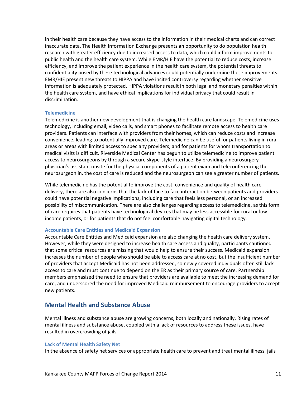in their health care because they have access to the information in their medical charts and can correct inaccurate data. The Health Information Exchange presents an opportunity to do population health research with greater efficiency due to increased access to data, which could inform improvements to public health and the health care system. While EMR/HIE have the potential to reduce costs, increase efficiency, and improve the patient experience in the health care system, the potential threats to confidentiality posed by these technological advances could potentially undermine these improvements. EMR/HIE present new threats to HIPPA and have incited controversy regarding whether sensitive information is adequately protected. HIPPA violations result in both legal and monetary penalties within the health care system, and have ethical implications for individual privacy that could result in discrimination.

#### **Telemedicine**

Telemedicine is another new development that is changing the health care landscape. Telemedicine uses technology, including email, video calls, and smart phones to facilitate remote access to health care providers. Patients can interface with providers from their homes, which can reduce costs and increase convenience, leading to potentially improved care. Telemedicine can be useful for patients living in rural areas or areas with limited access to specialty providers, and for patients for whom transportation to medical visits is difficult. Riverside Medical Center has begun to utilize telemedicine to improve patient access to neurosurgeons by through a secure skype-style interface. By providing a neurosurgery physician's assistant onsite for the physical components of a patient exam and teleconferencing the neurosurgeon in, the cost of care is reduced and the neurosurgeon can see a greater number of patients.

While telemedicine has the potential to improve the cost, convenience and quality of health care delivery, there are also concerns that the lack of face to face interaction between patients and providers could have potential negative implications, including care that feels less personal, or an increased possibility of miscommunication. There are also challenges regarding access to telemedicine, as this form of care requires that patients have technological devices that may be less accessible for rural or lowincome patients, or for patients that do not feel comfortable navigating digital technology.

#### **Accountable Care Entities and Medicaid Expansion**

Accountable Care Entities and Medicaid expansion are also changing the health care delivery system. However, while they were designed to increase health care access and quality, participants cautioned that some critical resources are missing that would help to ensure their success. Medicaid expansion increases the number of people who should be able to access care at no cost, but the insufficient number of providers that accept Medicaid has not been addressed, so newly covered individuals often still lack access to care and must continue to depend on the ER as their primary source of care. Partnership members emphasized the need to ensure that providers are available to meet the increasing demand for care, and underscored the need for improved Medicaid reimbursement to encourage providers to accept new patients.

### **Mental Health and Substance Abuse**

Mental illness and substance abuse are growing concerns, both locally and nationally. Rising rates of mental illness and substance abuse, coupled with a lack of resources to address these issues, have resulted in overcrowding of jails.

#### **Lack of Mental Health Safety Net**

In the absence of safety net services or appropriate health care to prevent and treat mental illness, jails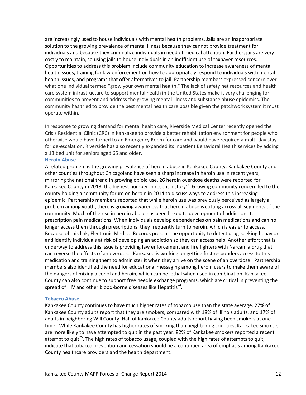are increasingly used to house individuals with mental health problems. Jails are an inappropriate solution to the growing prevalence of mental illness because they cannot provide treatment for individuals and because they criminalize individuals in need of medical attention. Further, jails are very costly to maintain, so using jails to house individuals in an inefficient use of taxpayer resources. Opportunities to address this problem include community education to increase awareness of mental health issues, training for law enforcement on how to appropriately respond to individuals with mental health issues, and programs that offer alternatives to jail. Partnership members expressed concern over what one individual termed "grow your own mental health." The lack of safety net resources and health care system infrastructure to support mental health in the United States make it very challenging for communities to prevent and address the growing mental illness and substance abuse epidemics. The community has tried to provide the best mental health care possible given the patchwork system it must operate within.

In response to growing demand for mental health care, Riverside Medical Center recently opened the Crisis Residential Clinic (CRC) in Kankakee to provide a better rehabilitation environment for people who otherwise would have turned to an Emergency Room for care and would have required a multi-day stay for de-escalation. Riverside has also recently expanded its inpatient Behavioral Health services by adding a 13 bed unit for seniors aged 65 and older.

#### **Heroin Abuse**

A related problem is the growing prevalence of heroin abuse in Kankakee County. Kankakee County and other counties throughout Chicagoland have seen a sharp increase in heroin use in recent years, mirroring the national trend in growing opioid use. 26 heroin overdose deaths were reported for Kankakee County in 2013, the highest number in recent history<sup>23</sup>. Growing community concern led to the county holding a community forum on heroin in 2014 to discuss ways to address this increasing epidemic. Partnership members reported that while heroin use was previously perceived as largely a problem among youth, there is growing awareness that heroin abuse is cutting across all segments of the community. Much of the rise in heroin abuse has been linked to development of addictions to prescription pain medications. When individuals develop dependencies on pain medications and can no longer access them through prescriptions, they frequently turn to heroin, which is easier to access. Because of this link, Electronic Medical Records present the opportunity to detect drug-seeking behavior and identify individuals at risk of developing an addiction so they can access help. Another effort that is underway to address this issue is providing law enforcement and fire fighters with Narcan, a drug that can reverse the effects of an overdose. Kankakee is working on getting first responders access to this medication and training them to administer it when they arrive on the scene of an overdose. Partnership members also identified the need for educational messaging among heroin users to make them aware of the dangers of mixing alcohol and heroin, which can be lethal when used in combination. Kankakee County can also continue to support free needle exchange programs, which are critical in preventing the spread of HIV and other blood-borne diseases like Hepatitis<sup>24</sup>.

#### **Tobacco Abuse**

Kankakee County continues to have much higher rates of tobacco use than the state average. 27% of Kankakee County adults report that they are smokers, compared with 18% of Illinois adults, and 17% of adults in neighboring Will County. Half of Kankakee County adults report having been smokers at one time. While Kankakee County has higher rates of smoking than neighboring counties, Kankakee smokers are more likely to have attempted to quit in the past year. 82% of Kankakee smokers reported a recent attempt to quit<sup>25</sup>. The high rates of tobacco usage, coupled with the high rates of attempts to quit, indicate that tobacco prevention and cessation should be a continued area of emphasis among Kankakee County healthcare providers and the health department.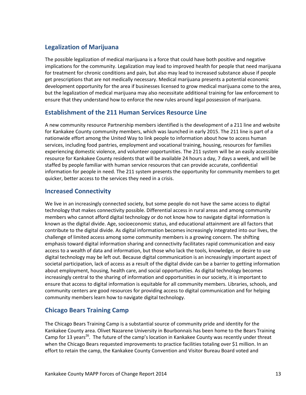# **Legalization of Marijuana**

The possible legalization of medical marijuana is a force that could have both positive and negative implications for the community. Legalization may lead to improved health for people that need marijuana for treatment for chronic conditions and pain, but also may lead to increased substance abuse if people get prescriptions that are not medically necessary. Medical marijuana presents a potential economic development opportunity for the area if businesses licensed to grow medical marijuana come to the area, but the legalization of medical marijuana may also necessitate additional training for law enforcement to ensure that they understand how to enforce the new rules around legal possession of marijuana.

### **Establishment of the 211 Human Services Resource Line**

A new community resource Partnership members identified is the development of a 211 line and website for Kankakee County community members, which was launched in early 2015. The 211 line is part of a nationwide effort among the United Way to link people to information about how to access human services, including food pantries, employment and vocational training, housing, resources for families experiencing domestic violence, and volunteer opportunities. The 211 system will be an easily accessible resource for Kankakee County residents that will be available 24 hours a day, 7 days a week, and will be staffed by people familiar with human service resources that can provide accurate, confidential information for people in need. The 211 system presents the opportunity for community members to get quicker, better access to the services they need in a crisis.

## **Increased Connectivity**

We live in an increasingly connected society, but some people do not have the same access to digital technology that makes connectivity possible. Differential access in rural areas and among community members who cannot afford digital technology or do not know how to navigate digital information is known as the digital divide. Age, socioeconomic status, and educational attainment are all factors that contribute to the digital divide. As digital information becomes increasingly integrated into our lives, the challenge of limited access among some community members is a growing concern. The shifting emphasis toward digital information sharing and connectivity facilitates rapid communication and easy access to a wealth of data and information, but those who lack the tools, knowledge, or desire to use digital technology may be left out. Because digital communication is an increasingly important aspect of societal participation, lack of access as a result of the digital divide can be a barrier to getting information about employment, housing, health care, and social opportunities. As digital technology becomes increasingly central to the sharing of information and opportunities in our society, it is important to ensure that access to digital information is equitable for all community members. Libraries, schools, and community centers are good resources for providing access to digital communication and for helping community members learn how to navigate digital technology.

## **Chicago Bears Training Camp**

The Chicago Bears Training Camp is a substantial source of community pride and identity for the Kankakee County area. Olivet Nazarene University in Bourbonnais has been home to the Bears Training Camp for 13 years<sup>26</sup>. The future of the camp's location in Kankakee County was recently under threat when the Chicago Bears requested improvements to practice facilities totaling over \$1 million. In an effort to retain the camp, the Kankakee County Convention and Visitor Bureau Board voted and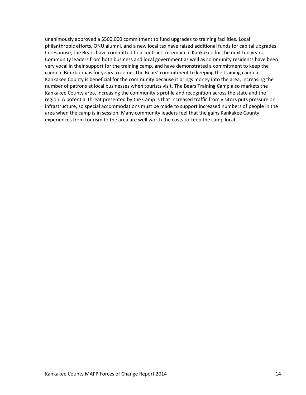unanimously approved a \$500,000 commitment to fund upgrades to training facilities. Local philanthropic efforts, ONU alumni, and a new local tax have raised additional funds for capital upgrades. In response, the Bears have committed to a contract to remain in Kankakee for the next ten years. Community leaders from both business and local government as well as community residents have been very vocal in their support for the training camp, and have demonstrated a commitment to keep the camp in Bourbonnais for years to come. The Bears' commitment to keeping the training camp in Kankakee County is beneficial for the community because it brings money into the area, increasing the number of patrons at local businesses when tourists visit. The Bears Training Camp also markets the Kankakee County area, increasing the community's profile and recognition across the state and the region. A potential threat presented by the Camp is that increased traffic from visitors puts pressure on infrastructure, so special accommodations must be made to support increased numbers of people in the area when the camp is in session. Many community leaders feel that the gains Kankakee County experiences from tourism to the area are well worth the costs to keep the camp local.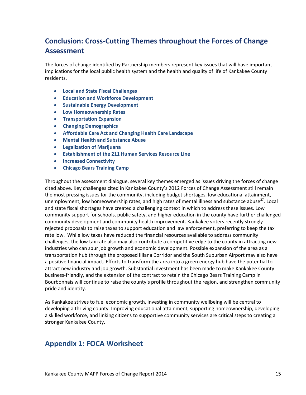# **Conclusion: Cross-Cutting Themes throughout the Forces of Change Assessment**

The forces of change identified by Partnership members represent key issues that will have important implications for the local public health system and the health and quality of life of Kankakee County residents.

- **Local and State Fiscal Challenges**
- **Education and Workforce Development**
- **Sustainable Energy Development**
- **Low Homeownership Rates**
- **•** Transportation Expansion
- **Changing Demographics**
- **Affordable Care Act and Changing Health Care Landscape**
- **Mental Health and Substance Abuse**
- **Legalization of Marijuana**
- **Establishment of the 211 Human Services Resource Line**
- **Increased Connectivity**
- **Chicago Bears Training Camp**

Throughout the assessment dialogue, several key themes emerged as issues driving the forces of change cited above. Key challenges cited in Kankakee County's 2012 Forces of Change Assessment still remain the most pressing issues for the community, including budget shortages, low educational attainment, unemployment, low homeownership rates, and high rates of mental illness and substance abuse<sup>27</sup>. Local and state fiscal shortages have created a challenging context in which to address these issues. Low community support for schools, public safety, and higher education in the county have further challenged community development and community health improvement. Kankakee voters recently strongly rejected proposals to raise taxes to support education and law enforcement, preferring to keep the tax rate low. While low taxes have reduced the financial resources available to address community challenges, the low tax rate also may also contribute a competitive edge to the county in attracting new industries who can spur job growth and economic development. Possible expansion of the area as a transportation hub through the proposed Illiana Corridor and the South Suburban Airport may also have a positive financial impact. Efforts to transform the area into a green energy hub have the potential to attract new industry and job growth. Substantial investment has been made to make Kankakee County business-friendly, and the extension of the contract to retain the Chicago Bears Training Camp in Bourbonnais will continue to raise the county's profile throughout the region, and strengthen community pride and identity.

As Kankakee strives to fuel economic growth, investing in community wellbeing will be central to developing a thriving county. Improving educational attainment, supporting homeownership, developing a skilled workforce, and linking citizens to supportive community services are critical steps to creating a stronger Kankakee County.

# **Appendix 1: FOCA Worksheet**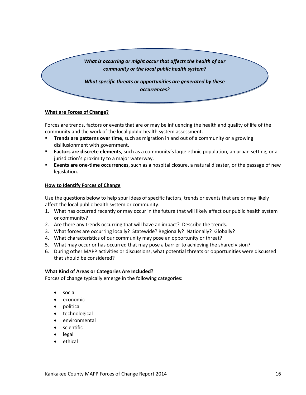

#### **What are Forces of Change?**

Forces are trends, factors or events that are or may be influencing the health and quality of life of the community and the work of the local public health system assessment.

- **Trends are patterns over time**, such as migration in and out of a community or a growing disillusionment with government.
- **Factors are discrete elements**, such as a community's large ethnic population, an urban setting, or a jurisdiction's proximity to a major waterway.
- **Events are one-time occurrences**, such as a hospital closure, a natural disaster, or the passage of new legislation.

#### **How to Identify Forces of Change**

Use the questions below to help spur ideas of specific factors, trends or events that are or may likely affect the local public health system or community.

- 1. What has occurred recently or may occur in the future that will likely affect our public health system or community?
- 2. Are there any trends occurring that will have an impact? Describe the trends.
- 3. What forces are occurring locally? Statewide? Regionally? Nationally? Globally?
- 4. What characteristics of our community may pose an opportunity or threat?
- 5. What may occur or has occurred that may pose a barrier to achieving the shared vision?
- 6. During other MAPP activities or discussions, what potential threats or opportunities were discussed that should be considered?

#### **What Kind of Areas or Categories Are Included?**

Forces of change typically emerge in the following categories:

- social
- economic
- political
- technological
- **•** environmental
- **•** scientific
- legal
- ethical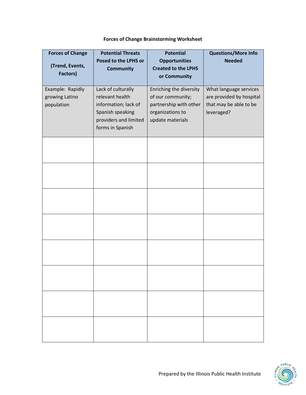| <b>Forces of Change Brainstorming Worksheet</b> |  |  |
|-------------------------------------------------|--|--|
|-------------------------------------------------|--|--|

| <b>Forces of Change</b>                          | <b>Potential Threats</b>                                                                                                       | <b>Potential</b>                                                                                               | <b>Questions/More Info</b>                                                                 |
|--------------------------------------------------|--------------------------------------------------------------------------------------------------------------------------------|----------------------------------------------------------------------------------------------------------------|--------------------------------------------------------------------------------------------|
| (Trend, Events,<br>Factors)                      | Posed to the LPHS or<br><b>Community</b>                                                                                       | <b>Opportunities</b><br><b>Created to the LPHS</b><br>or Community                                             | <b>Needed</b>                                                                              |
| Example: Rapidly<br>growing Latino<br>population | Lack of culturally<br>relevant health<br>information; lack of<br>Spanish speaking<br>providers and limited<br>forms in Spanish | Enriching the diversity<br>of our community;<br>partnership with other<br>organizations to<br>update materials | What language services<br>are provided by hospital<br>that may be able to be<br>leveraged? |
|                                                  |                                                                                                                                |                                                                                                                |                                                                                            |
|                                                  |                                                                                                                                |                                                                                                                |                                                                                            |
|                                                  |                                                                                                                                |                                                                                                                |                                                                                            |
|                                                  |                                                                                                                                |                                                                                                                |                                                                                            |
|                                                  |                                                                                                                                |                                                                                                                |                                                                                            |
|                                                  |                                                                                                                                |                                                                                                                |                                                                                            |
|                                                  |                                                                                                                                |                                                                                                                |                                                                                            |
|                                                  |                                                                                                                                |                                                                                                                |                                                                                            |